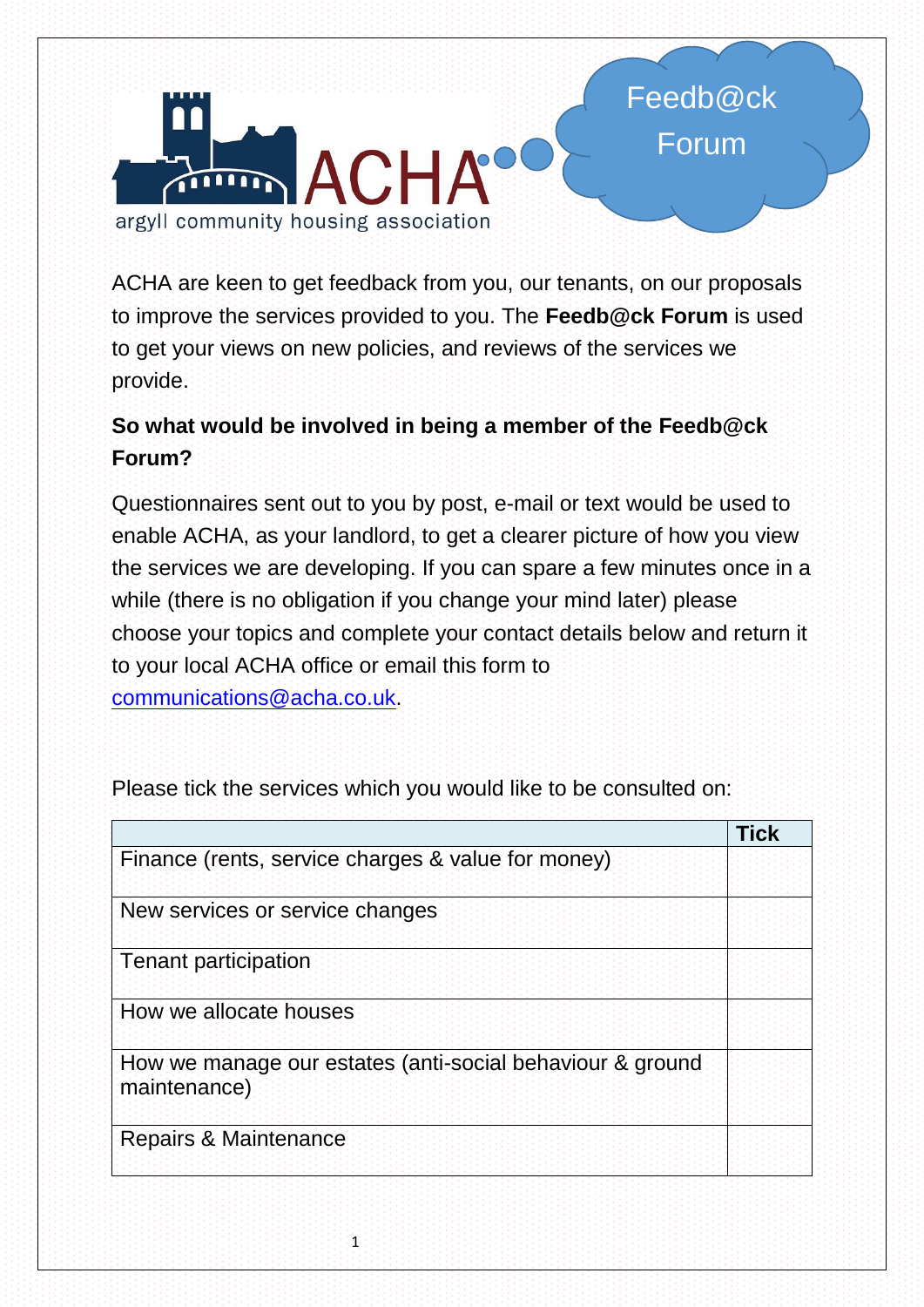

ACHA are keen to get feedback from you, our tenants, on our proposals to improve the services provided to you. The **Feedb@ck Forum** is used to get your views on new policies, and reviews of the services we provide.

## **So what would be involved in being a member of the Feedb@ck Forum?**

Questionnaires sent out to you by post, e-mail or text would be used to enable ACHA, as your landlord, to get a clearer picture of how you view the services we are developing. If you can spare a few minutes once in a while (there is no obligation if you change your mind later) please choose your topics and complete your contact details below and return it to your local ACHA office or email this form to [communications@acha.co.uk.](mailto:communications@acha.co.uk)

|                                                                           | <b>Tick</b> |
|---------------------------------------------------------------------------|-------------|
| Finance (rents, service charges & value for money)                        |             |
| New services or service changes                                           |             |
| <b>Tenant participation</b>                                               |             |
| How we allocate houses                                                    |             |
| How we manage our estates (anti-social behaviour & ground<br>maintenance) |             |
| Repairs & Maintenance                                                     |             |

Please tick the services which you would like to be consulted on: